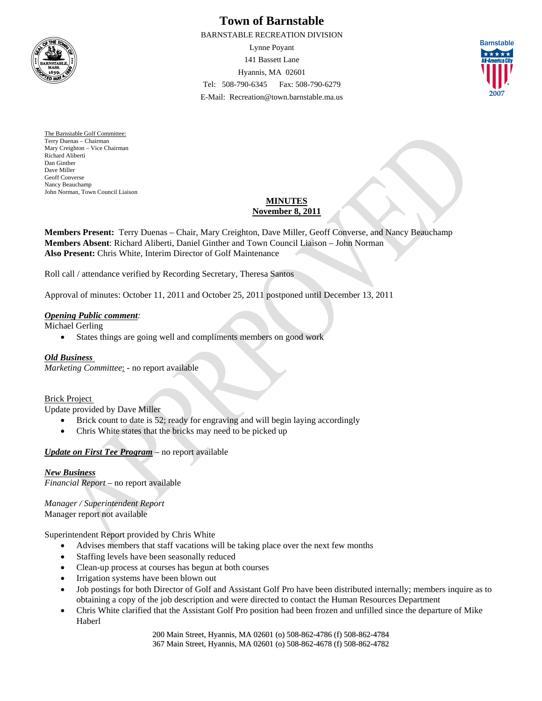

# **Town of Barnstable**

BARNSTABLE RECREATION DIVISION Lynne Poyant 141 Bassett Lane Hyannis, MA 02601 Tel: 508-790-6345 Fax: 508-790-6279

E-Mail: Recreation@town.barnstable.ma.us



The Barnstable Golf Committee: Terry Duenas – Chairman Mary Creighton – Vice Chairman Richard Aliberti Dan Ginther Dave Miller Geoff Converse Nancy Beauchamp John Norman, Town Council Liaison

# **MINUTES November 8, 2011**

**Members Present:** Terry Duenas – Chair, Mary Creighton, Dave Miller, Geoff Converse, and Nancy Beauchamp **Members Absent**: Richard Aliberti, Daniel Ginther and Town Council Liaison – John Norman **Also Present:** Chris White, Interim Director of Golf Maintenance

Roll call / attendance verified by Recording Secretary, Theresa Santos

Approval of minutes: October 11, 2011 and October 25, 2011 postponed until December 13, 2011

#### *Opening Public comment:*

Michael Gerling

States things are going well and compliments members on good work

## *Old Business*

*Marketing Committee*: - no report available

#### Brick Project

Update provided by Dave Miller

- Brick count to date is 52; ready for engraving and will begin laying accordingly
- Chris White states that the bricks may need to be picked up

## *Update on First Tee Program* – no report available

#### *New Business*

*Financial Report* – no report available

*Manager / Superintendent Report*  Manager report not available

Superintendent Report provided by Chris White

- Advises members that staff vacations will be taking place over the next few months
- Staffing levels have been seasonally reduced
- Clean-up process at courses has begun at both courses
- Irrigation systems have been blown out
- Job postings for both Director of Golf and Assistant Golf Pro have been distributed internally; members inquire as to obtaining a copy of the job description and were directed to contact the Human Resources Department
- Chris White clarified that the Assistant Golf Pro position had been frozen and unfilled since the departure of Mike Haberl

200 Main Street, Hyannis, MA 02601 (o) 508-862-4786 (f) 508-862-4784 367 Main Street, Hyannis, MA 02601 (o) 508-862-4678 (f) 508-862-4782